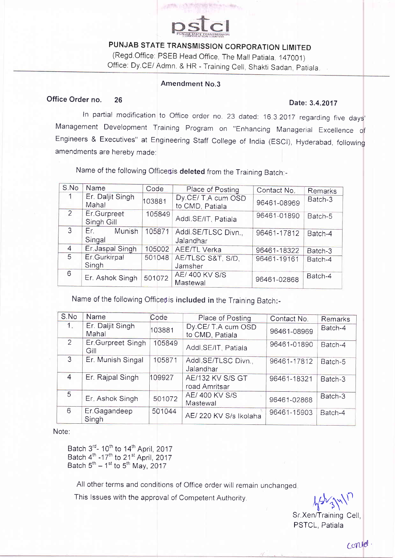

PUNJAB STATE TRANSMISSION CORPORATION LIMITED (Regd.Office: PSEB Head Office, The Mall Patiala, 147001) Office: Dy CE/ Admn. & HR - Training Cell, Shakti Sadan, Patiala.

## Amendment No.3

# Office Order no. 26 Date: 3.4.2017

In partial modification to Office order no. 23 dated:  $16.3.2017$  regarding five days' Management Development Training Program on "Enhancing Managerial Excellence of Engineers & Executives" at Engineering Staff College of India (ESCI), Hyderabad, following amendments are herebv made:

S.No Name Code Place of Posting Contact No. Remarks<br>1 Er. Daliit Singh Dv CE/T A cum OSD Er. Daljit Singh Er. Daljit Singh Dy CE/ T A cum OSD 96461-08969 <sup>Batch-3</sup><br>Mahal 103881 to CMD, Patiala z Er.Gurpreet 105849 Addl.SE/IT, Patiala 96461-01890 Batch-5 Sinqh Gill  $\overline{3}$ Er. Munish 105871 Addl.SE/TLSC Divn... 96461-17812 | Batch-4 Sinqal Jalandhar 4 Er. Jaspal Singh 105002 AEE/TL Verka 96461-18322 Batch-3<br>5 Er. Gurkirpal 501048 AE/TLSC S&T, S/D. 96461-19161 Batch-4 Er.Gurkirpal AE/TLSC S&T, S/D, 96401-19161 Batch-4 **Singh** Jamsher AE/ 400 KV S/S<br>Mastewal 96461-02868  $\mathcal{B}$  Er. Ashok Singh 501072 AE/ 400 KV S/S 96461-02868 Batch-4

Name of the following Officersis deleted from the Training Batch:-

Name of the following Offices is included in the Training Batch:-

| S.No          | Name                      | Code   | Place of Posting                      | Contact No. | Remarks |
|---------------|---------------------------|--------|---------------------------------------|-------------|---------|
| $1_{\odot}$   | Er. Daljit Singh<br>Mahal | 103881 | Dy.CE/ T.A cum OSD<br>to CMD, Patiala | 96461-08969 | Batch-4 |
| $\mathcal{P}$ | Er.Gurpreet Singh<br>Gill | 105849 | Addl.SE/IT, Patiala                   | 96461-01890 | Batch-4 |
| 3             | Er. Munish Singal         | 105871 | Addl SE/TLSC Divn.<br>Jalandhar       | 96461-17812 | Batch-5 |
| 4             | Er. Rajpal Singh          | 109927 | AE/132 KV S/S GT<br>road Amritsar     | 96461-18321 | Batch-3 |
| 5             | Er. Ashok Singh           | 501072 | AE/ 400 KV S/S<br>Mastewal            | 96461-02868 | Batch-3 |
| 6             | Er.Gagandeep<br>Singh     | 501044 | AE/220 KV S/s Ikolaha                 | 96461-15903 | Batch-4 |

## Note:

Batch  $3^{rd}$ - 10<sup>th</sup> to  $14^{th}$  April, 2017 Batch  $4^{\text{th}}$  -17<sup>th</sup> to 21<sup>st</sup> April, 2017 Batch  $5<sup>th</sup> - 1<sup>st</sup>$  to  $5<sup>th</sup>$  May, 2017

All other terms and conditions of Office order will remain unchanged.

This lssues with the approval of Competent Authority.

 $\sqrt{2}$ ,  $3\sqrt{1}$ 

Sr.Xen/Training Cell PSTCL, Patiala